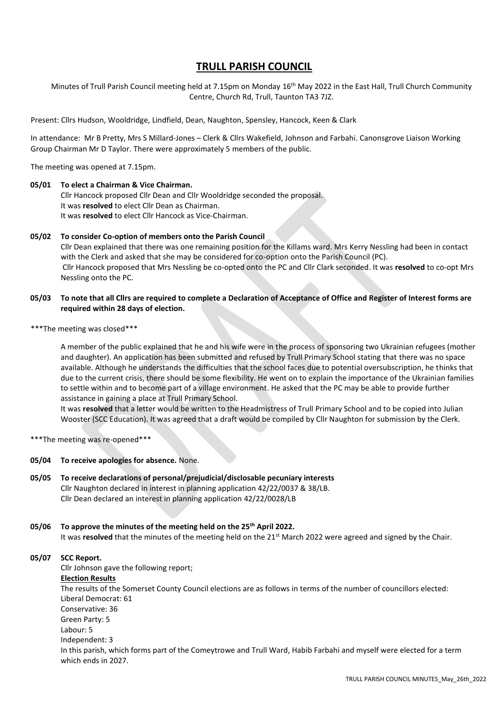# **TRULL PARISH COUNCIL**

Minutes of Trull Parish Council meeting held at 7.15pm on Monday 16<sup>th</sup> May 2022 in the East Hall, Trull Church Community Centre, Church Rd, Trull, Taunton TA3 7JZ.

Present: Cllrs Hudson, Wooldridge, Lindfield, Dean, Naughton, Spensley, Hancock, Keen & Clark

In attendance: Mr B Pretty, Mrs S Millard-Jones – Clerk & Cllrs Wakefield, Johnson and Farbahi. Canonsgrove Liaison Working Group Chairman Mr D Taylor. There were approximately 5 members of the public.

The meeting was opened at 7.15pm.

#### **05/01 To elect a Chairman & Vice Chairman.**

Cllr Hancock proposed Cllr Dean and Cllr Wooldridge seconded the proposal. It was **resolved** to elect Cllr Dean as Chairman. It was **resolved** to elect Cllr Hancock as Vice-Chairman.

#### **05/02 To consider Co-option of members onto the Parish Council**

Cllr Dean explained that there was one remaining position for the Killams ward. Mrs Kerry Nessling had been in contact with the Clerk and asked that she may be considered for co-option onto the Parish Council (PC). Cllr Hancock proposed that Mrs Nessling be co-opted onto the PC and Cllr Clark seconded. It was **resolved** to co-opt Mrs Nessling onto the PC.

#### **05/03 To note that all Cllrs are required to complete a Declaration of Acceptance of Office and Register of Interest forms are required within 28 days of election.**

\*\*\*The meeting was closed\*\*\*

A member of the public explained that he and his wife were in the process of sponsoring two Ukrainian refugees (mother and daughter). An application has been submitted and refused by Trull Primary School stating that there was no space available. Although he understands the difficulties that the school faces due to potential oversubscription, he thinks that due to the current crisis, there should be some flexibility. He went on to explain the importance of the Ukrainian families to settle within and to become part of a village environment. He asked that the PC may be able to provide further assistance in gaining a place at Trull Primary School.

It was **resolved** that a letter would be written to the Headmistress of Trull Primary School and to be copied into Julian Wooster (SCC Education). It was agreed that a draft would be compiled by Cllr Naughton for submission by the Clerk.

\*\*\*The meeting was re-opened\*\*\*

**05/04 To receive apologies for absence.** None.

#### **05/05 To receive declarations of personal/prejudicial/disclosable pecuniary interests**  Cllr Naughton declared in interest in planning application 42/22/0037 & 38/LB. Cllr Dean declared an interest in planning application 42/22/0028/LB

# **05/06 To approve the minutes of the meeting held on the 25th April 2022.**  It was **resolved** that the minutes of the meeting held on the 21<sup>st</sup> March 2022 were agreed and signed by the Chair.

#### **05/07 SCC Report.**

Cllr Johnson gave the following report; **Election Results** The results of the Somerset County Council elections are as follows in terms of the number of councillors elected: Liberal Democrat: 61 Conservative: 36 Green Party: 5 Labour: 5 Independent: 3 In this parish, which forms part of the Comeytrowe and Trull Ward, Habib Farbahi and myself were elected for a term which ends in 2027.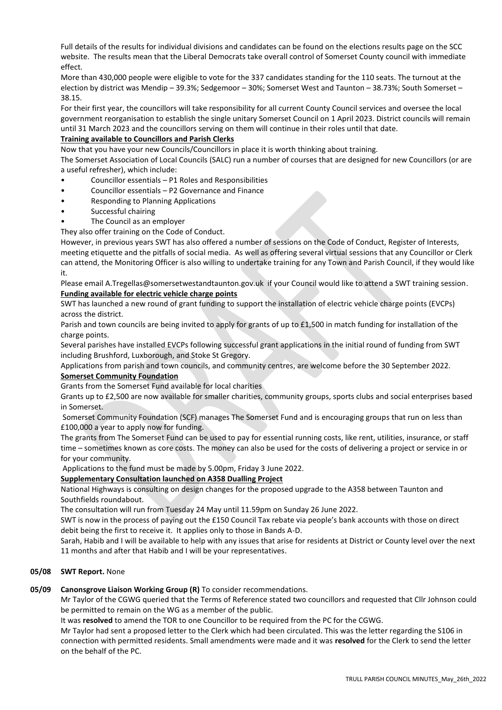Full details of the results for individual divisions and candidates can be found on the elections results page on the SCC website. The results mean that the Liberal Democrats take overall control of Somerset County council with immediate effect.

More than 430,000 people were eligible to vote for the 337 candidates standing for the 110 seats. The turnout at the election by district was Mendip – 39.3%; Sedgemoor – 30%; Somerset West and Taunton – 38.73%; South Somerset – 38.15.

For their first year, the councillors will take responsibility for all current County Council services and oversee the local government reorganisation to establish the single unitary Somerset Council on 1 April 2023. District councils will remain until 31 March 2023 and the councillors serving on them will continue in their roles until that date.

# **Training available to Councillors and Parish Clerks**

Now that you have your new Councils/Councillors in place it is worth thinking about training.

The Somerset Association of Local Councils (SALC) run a number of courses that are designed for new Councillors (or are a useful refresher), which include:

- Councillor essentials P1 Roles and Responsibilities
- Councillor essentials P2 Governance and Finance
- Responding to Planning Applications
- Successful chairing
- The Council as an employer

They also offer training on the Code of Conduct.

However, in previous years SWT has also offered a number of sessions on the Code of Conduct, Register of Interests, meeting etiquette and the pitfalls of social media. As well as offering several virtual sessions that any Councillor or Clerk can attend, the Monitoring Officer is also willing to undertake training for any Town and Parish Council, if they would like it.

Please email A.Tregellas@somersetwestandtaunton.gov.uk if your Council would like to attend a SWT training session. **Funding available for electric vehicle charge points**

SWT has launched a new round of grant funding to support the installation of electric vehicle charge points (EVCPs) across the district. 

Parish and town councils are being invited to apply for grants of up to £1,500 in match funding for installation of the charge points. 

Several parishes have installed EVCPs following successful grant applications in the initial round of funding from SWT including Brushford, Luxborough, and Stoke St Gregory. 

Applications from parish and town councils, and community centres, are welcome before the 30 September 2022.  **Somerset Community Foundation**

Grants from the Somerset Fund available for local charities

Grants up to £2,500 are now available for smaller charities, community groups, sports clubs and social enterprises based in Somerset.

Somerset Community Foundation (SCF) manages The Somerset Fund and is encouraging groups that run on less than £100,000 a year to apply now for funding.

The grants from The Somerset Fund can be used to pay for essential running costs, like rent, utilities, insurance, or staff time – sometimes known as core costs. The money can also be used for the costs of delivering a project or service in or for your community.

Applications to the fund must be made by 5.00pm, Friday 3 June 2022.

#### **Supplementary Consultation launched on A358 Dualling Project**

National Highways is consulting on design changes for the proposed upgrade to the A358 between Taunton and Southfields roundabout.

The consultation will run from Tuesday 24 May until 11.59pm on Sunday 26 June 2022.

SWT is now in the process of paying out the £150 Council Tax rebate via people's bank accounts with those on direct debit being the first to receive it. It applies only to those in Bands A-D.

Sarah, Habib and I will be available to help with any issues that arise for residents at District or County level over the next 11 months and after that Habib and I will be your representatives.

#### **05/08 SWT Report.** None

#### **05/09 Canonsgrove Liaison Working Group (R)** To consider recommendations.

Mr Taylor of the CGWG queried that the Terms of Reference stated two councillors and requested that Cllr Johnson could be permitted to remain on the WG as a member of the public.

It was **resolved** to amend the TOR to one Councillor to be required from the PC for the CGWG.

Mr Taylor had sent a proposed letter to the Clerk which had been circulated. This was the letter regarding the S106 in connection with permitted residents. Small amendments were made and it was **resolved** for the Clerk to send the letter on the behalf of the PC.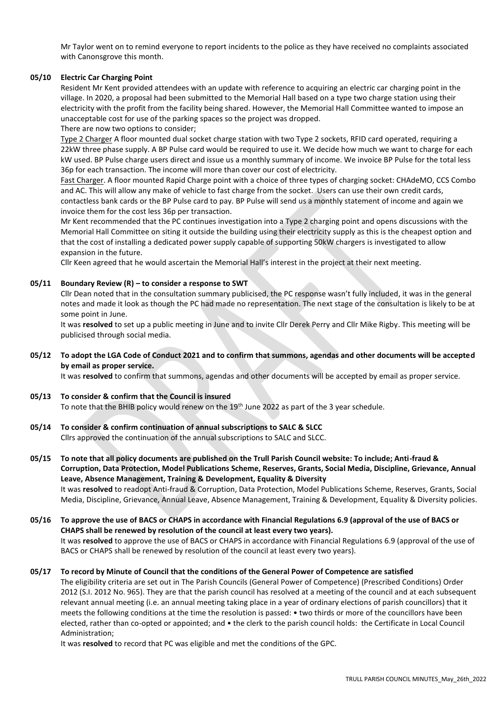Mr Taylor went on to remind everyone to report incidents to the police as they have received no complaints associated with Canonsgrove this month.

#### **05/10 Electric Car Charging Point**

Resident Mr Kent provided attendees with an update with reference to acquiring an electric car charging point in the village. In 2020, a proposal had been submitted to the Memorial Hall based on a type two charge station using their electricity with the profit from the facility being shared. However, the Memorial Hall Committee wanted to impose an unacceptable cost for use of the parking spaces so the project was dropped.

There are now two options to consider;

Type 2 Charger A floor mounted dual socket charge station with two Type 2 sockets, RFID card operated, requiring a 22kW three phase supply. A BP Pulse card would be required to use it. We decide how much we want to charge for each kW used. BP Pulse charge users direct and issue us a monthly summary of income. We invoice BP Pulse for the total less 36p for each transaction. The income will more than cover our cost of electricity.

Fast Charger. A floor mounted Rapid Charge point with a choice of three types of charging socket: CHAdeMO, CCS Combo and AC. This will allow any make of vehicle to fast charge from the socket. Users can use their own credit cards, contactless bank cards or the BP Pulse card to pay. BP Pulse will send us a monthly statement of income and again we invoice them for the cost less 36p per transaction.

Mr Kent recommended that the PC continues investigation into a Type 2 charging point and opens discussions with the Memorial Hall Committee on siting it outside the building using their electricity supply as this is the cheapest option and that the cost of installing a dedicated power supply capable of supporting 50kW chargers is investigated to allow expansion in the future.

Cllr Keen agreed that he would ascertain the Memorial Hall's interest in the project at their next meeting.

#### **05/11 Boundary Review (R) – to consider a response to SWT**

Cllr Dean noted that in the consultation summary publicised, the PC response wasn't fully included, it was in the general notes and made it look as though the PC had made no representation. The next stage of the consultation is likely to be at some point in June.

It was **resolved** to set up a public meeting in June and to invite Cllr Derek Perry and Cllr Mike Rigby. This meeting will be publicised through social media.

# **05/12 To adopt the LGA Code of Conduct 2021 and to confirm that summons, agendas and other documents will be accepted by email as proper service.**

It was **resolved** to confirm that summons, agendas and other documents will be accepted by email as proper service.

#### **05/13 To consider & confirm that the Council is insured**

To note that the BHIB policy would renew on the  $19<sup>th</sup>$  June 2022 as part of the 3 year schedule.

#### **05/14 To consider & confirm continuation of annual subscriptions to SALC & SLCC**

Cllrs approved the continuation of the annual subscriptions to SALC and SLCC.

**05/15 To note that all policy documents are published on the Trull Parish Council website: To include; Anti-fraud & Corruption, Data Protection, Model Publications Scheme, Reserves, Grants, Social Media, Discipline, Grievance, Annual Leave, Absence Management, Training & Development, Equality & Diversity**  It was **resolved** to readopt Anti-fraud & Corruption, Data Protection, Model Publications Scheme, Reserves, Grants, Social Media, Discipline, Grievance, Annual Leave, Absence Management, Training & Development, Equality & Diversity policies.

#### **05/16 To approve the use of BACS or CHAPS in accordance with Financial Regulations 6.9 (approval of the use of BACS or CHAPS shall be renewed by resolution of the council at least every two years).** It was **resolved** to approve the use of BACS or CHAPS in accordance with Financial Regulations 6.9 (approval of the use of BACS or CHAPS shall be renewed by resolution of the council at least every two years).

#### **05/17 To record by Minute of Council that the conditions of the General Power of Competence are satisfied**

The eligibility criteria are set out in The Parish Councils (General Power of Competence) (Prescribed Conditions) Order 2012 (S.I. 2012 No. 965). They are that the parish council has resolved at a meeting of the council and at each subsequent relevant annual meeting (i.e. an annual meeting taking place in a year of ordinary elections of parish councillors) that it meets the following conditions at the time the resolution is passed: • two thirds or more of the councillors have been elected, rather than co-opted or appointed; and • the clerk to the parish council holds: the Certificate in Local Council Administration;

It was **resolved** to record that PC was eligible and met the conditions of the GPC.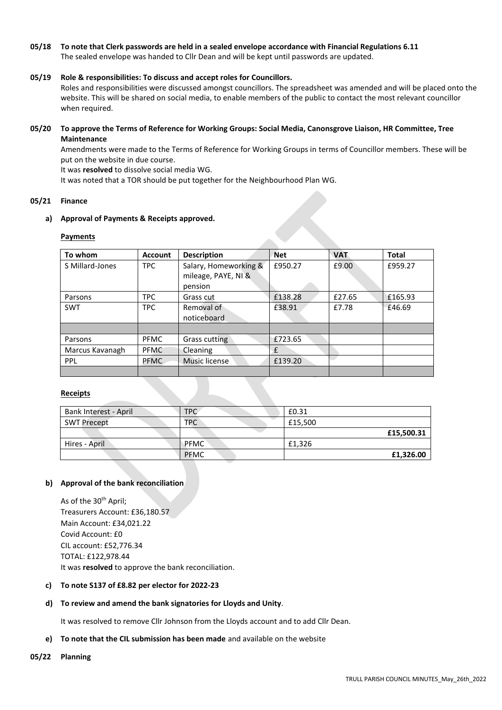# **05/18 To note that Clerk passwords are held in a sealed envelope accordance with Financial Regulations 6.11**

The sealed envelope was handed to Cllr Dean and will be kept until passwords are updated.

#### **05/19 Role & responsibilities: To discuss and accept roles for Councillors.**

Roles and responsibilities were discussed amongst councillors. The spreadsheet was amended and will be placed onto the website. This will be shared on social media, to enable members of the public to contact the most relevant councillor when required.

#### **05/20 To approve the Terms of Reference for Working Groups: Social Media, Canonsgrove Liaison, HR Committee, Tree Maintenance**

Amendments were made to the Terms of Reference for Working Groups in terms of Councillor members. These will be put on the website in due course.

It was **resolved** to dissolve social media WG.

It was noted that a TOR should be put together for the Neighbourhood Plan WG.

#### **05/21 Finance**

#### **a) Approval of Payments & Receipts approved.**

#### **Payments**

| To whom         | <b>Account</b> | <b>Description</b>    | <b>Net</b> | <b>VAT</b> | <b>Total</b> |
|-----------------|----------------|-----------------------|------------|------------|--------------|
| S Millard-Jones | <b>TPC</b>     | Salary, Homeworking & | £950.27    | £9.00      | £959.27      |
|                 |                | mileage, PAYE, NI &   |            |            |              |
|                 |                | pension               |            |            |              |
| Parsons         | TPC.           | Grass cut             | £138.28    | £27.65     | £165.93      |
| <b>SWT</b>      | <b>TPC</b>     | Removal of            | £38.91     | £7.78      | £46.69       |
|                 |                | noticeboard           |            |            |              |
|                 |                |                       |            |            |              |
| Parsons         | <b>PFMC</b>    | Grass cutting         | £723.65    |            |              |
| Marcus Kavanagh | <b>PFMC</b>    | Cleaning              | f          |            |              |
| <b>PPL</b>      | <b>PFMC</b>    | Music license         | £139.20    |            |              |
|                 |                |                       |            |            |              |

#### **Receipts**

| Bank Interest - April | TPC         | £0.31      |
|-----------------------|-------------|------------|
| SWT Precept           | <b>TPC</b>  | £15,500    |
|                       |             | £15,500.31 |
| Hires - April         | <b>PFMC</b> | £1.326     |
|                       | <b>PEMC</b> | £1,326.00  |

#### **b) Approval of the bank reconciliation**

As of the 30<sup>th</sup> April; Treasurers Account: £36,180.57 Main Account: £34,021.22 Covid Account: £0 CIL account: £52,776.34 TOTAL: £122,978.44 It was **resolved** to approve the bank reconciliation.

#### **c) To note S137 of £8.82 per elector for 2022-23**

# **d) To review and amend the bank signatories for Lloyds and Unity**.

It was resolved to remove Cllr Johnson from the Lloyds account and to add Cllr Dean.

#### **e) To note that the CIL submission has been made** and available on the website

#### **05/22 Planning**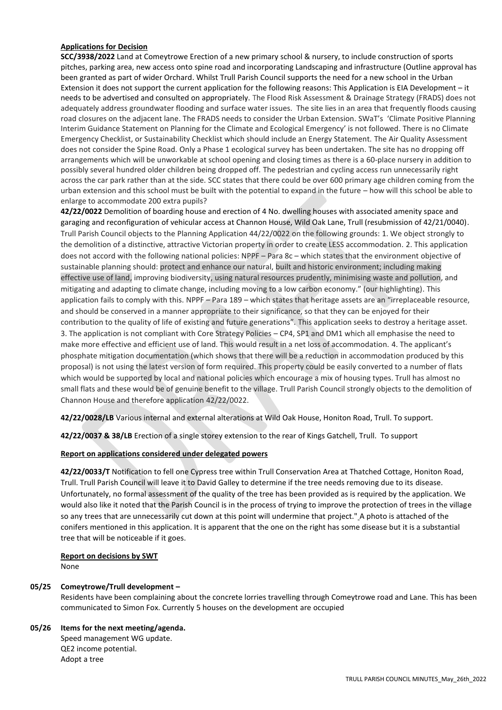# **Applications for Decision**

**SCC/3938/2022** Land at Comeytrowe Erection of a new primary school & nursery, to include construction of sports pitches, parking area, new access onto spine road and incorporating Landscaping and infrastructure (Outline approval has been granted as part of wider Orchard. Whilst Trull Parish Council supports the need for a new school in the Urban Extension it does not support the current application for the following reasons: This Application is EIA Development – it needs to be advertised and consulted on appropriately. The Flood Risk Assessment & Drainage Strategy (FRADS) does not adequately address groundwater flooding and surface water issues. The site lies in an area that frequently floods causing road closures on the adjacent lane. The FRADS needs to consider the Urban Extension. SWaT's 'Climate Positive Planning Interim Guidance Statement on Planning for the Climate and Ecological Emergency' is not followed. There is no Climate Emergency Checklist, or Sustainability Checklist which should include an Energy Statement. The Air Quality Assessment does not consider the Spine Road. Only a Phase 1 ecological survey has been undertaken. The site has no dropping off arrangements which will be unworkable at school opening and closing times as there is a 60-place nursery in addition to possibly several hundred older children being dropped off. The pedestrian and cycling access run unnecessarily right across the car park rather than at the side. SCC states that there could be over 600 primary age children coming from the urban extension and this school must be built with the potential to expand in the future – how will this school be able to enlarge to accommodate 200 extra pupils?

**42/22/0022** Demolition of boarding house and erection of 4 No. dwelling houses with associated amenity space and garaging and reconfiguration of vehicular access at Channon House, Wild Oak Lane, Trull (resubmission of 42/21/0040). Trull Parish Council objects to the Planning Application 44/22/0022 on the following grounds: 1. We object strongly to the demolition of a distinctive, attractive Victorian property in order to create LESS accommodation. 2. This application does not accord with the following national policies: NPPF – Para 8c – which states that the environment objective of sustainable planning should: protect and enhance our natural, built and historic environment; including making effective use of land, improving biodiversity, using natural resources prudently, minimising waste and pollution, and mitigating and adapting to climate change, including moving to a low carbon economy." (our highlighting). This application fails to comply with this. NPPF – Para 189 – which states that heritage assets are an "irreplaceable resource, and should be conserved in a manner appropriate to their significance, so that they can be enjoyed for their contribution to the quality of life of existing and future generations". This application seeks to destroy a heritage asset. 3. The application is not compliant with Core Strategy Policies – CP4, SP1 and DM1 which all emphasise the need to make more effective and efficient use of land. This would result in a net loss of accommodation. 4. The applicant's phosphate mitigation documentation (which shows that there will be a reduction in accommodation produced by this proposal) is not using the latest version of form required. This property could be easily converted to a number of flats which would be supported by local and national policies which encourage a mix of housing types. Trull has almost no small flats and these would be of genuine benefit to the village. Trull Parish Council strongly objects to the demolition of Channon House and therefore application 42/22/0022.

**42/22/0028/LB** Various internal and external alterations at Wild Oak House, Honiton Road, Trull. To support.

**42/22/0037 & 38/LB** Erection of a single storey extension to the rear of Kings Gatchell, Trull. To support

#### **Report on applications considered under delegated powers**

**42/22/0033/T** Notification to fell one Cypress tree within Trull Conservation Area at Thatched Cottage, Honiton Road, Trull. Trull Parish Council will leave it to David Galley to determine if the tree needs removing due to its disease. Unfortunately, no formal assessment of the quality of the tree has been provided as is required by the application. We would also like it noted that the Parish Council is in the process of trying to improve the protection of trees in the village so any trees that are unnecessarily cut down at this point will undermine that project." A photo is attached of the conifers mentioned in this application. It is apparent that the one on the right has some disease but it is a substantial tree that will be noticeable if it goes.

#### **Report on decisions by SWT**

None

#### **05/25 Comeytrowe/Trull development –**

Residents have been complaining about the concrete lorries travelling through Comeytrowe road and Lane. This has been communicated to Simon Fox. Currently 5 houses on the development are occupied

# **05/26 Items for the next meeting/agenda.**

Speed management WG update. QE2 income potential. Adopt a tree